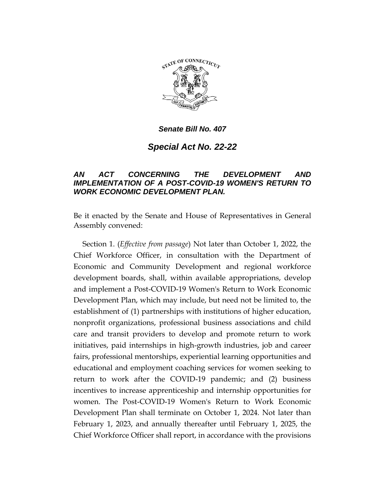

*Senate Bill No. 407*

*Special Act No. 22-22*

## *AN ACT CONCERNING THE DEVELOPMENT AND IMPLEMENTATION OF A POST-COVID-19 WOMEN'S RETURN TO WORK ECONOMIC DEVELOPMENT PLAN.*

Be it enacted by the Senate and House of Representatives in General Assembly convened:

Section 1. (*Effective from passage*) Not later than October 1, 2022, the Chief Workforce Officer, in consultation with the Department of Economic and Community Development and regional workforce development boards, shall, within available appropriations, develop and implement a Post-COVID-19 Women's Return to Work Economic Development Plan, which may include, but need not be limited to, the establishment of (1) partnerships with institutions of higher education, nonprofit organizations, professional business associations and child care and transit providers to develop and promote return to work initiatives, paid internships in high-growth industries, job and career fairs, professional mentorships, experiential learning opportunities and educational and employment coaching services for women seeking to return to work after the COVID-19 pandemic; and (2) business incentives to increase apprenticeship and internship opportunities for women. The Post-COVID-19 Women's Return to Work Economic Development Plan shall terminate on October 1, 2024. Not later than February 1, 2023, and annually thereafter until February 1, 2025, the Chief Workforce Officer shall report, in accordance with the provisions